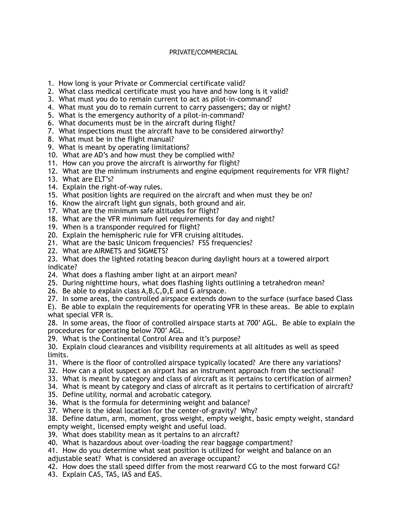## PRIVATE/COMMERCIAL

- 1. How long is your Private or Commercial certificate valid?
- 2. What class medical certificate must you have and how long is it valid?
- 3. What must you do to remain current to act as pilot-in-command?
- 4. What must you do to remain current to carry passengers; day or night?
- 5. What is the emergency authority of a pilot-in-command?
- 6. What documents must be in the aircraft during flight?
- 7. What inspections must the aircraft have to be considered airworthy?
- 8. What must be in the flight manual?
- 9. What is meant by operating limitations?
- 10. What are AD's and how must they be complied with?
- 11. How can you prove the aircraft is airworthy for flight?
- 12. What are the minimum instruments and engine equipment requirements for VFR flight?
- 13. What are ELT's?
- 14. Explain the right-of-way rules.
- 15. What position lights are required on the aircraft and when must they be on?
- 16. Know the aircraft light gun signals, both ground and air.
- 17. What are the minimum safe altitudes for flight?
- 18. What are the VFR minimum fuel requirements for day and night?
- 19. When is a transponder required for flight?
- 20. Explain the hemispheric rule for VFR cruising altitudes.
- 21. What are the basic Unicom frequencies? FSS frequencies?
- 22. What are AIRMETS and SIGMETS?
- 23. What does the lighted rotating beacon during daylight hours at a towered airport indicate?
- 24. What does a flashing amber light at an airport mean?
- 25. During nighttime hours, what does flashing lights outlining a tetrahedron mean?
- 26. Be able to explain class A,B,C,D,E and G airspace.
- 27. In some areas, the controlled airspace extends down to the surface (surface based Class
- E). Be able to explain the requirements for operating VFR in these areas. Be able to explain what special VFR is.
- 28. In some areas, the floor of controlled airspace starts at 700' AGL. Be able to explain the procedures for operating below 700' AGL.
- 29. What is the Continental Control Area and it's purpose?
- 30. Explain cloud clearances and visibility requirements at all altitudes as well as speed limits.
- 31. Where is the floor of controlled airspace typically located? Are there any variations?
- 32. How can a pilot suspect an airport has an instrument approach from the sectional?
- 33. What is meant by category and class of aircraft as it pertains to certification of airmen?
- 34. What is meant by category and class of aircraft as it pertains to certification of aircraft?
- 35. Define utility, normal and acrobatic category.
- 36. What is the formula for determining weight and balance?
- 37. Where is the ideal location for the center-of-gravity? Why?
- 38. Define datum, arm, moment, gross weight, empty weight, basic empty weight, standard empty weight, licensed empty weight and useful load.
- 39. What does stability mean as it pertains to an aircraft?
- 40. What is hazardous about over-loading the rear baggage compartment?
- 41. How do you determine what seat position is utilized for weight and balance on an adjustable seat? What is considered an average occupant?
- 42. How does the stall speed differ from the most rearward CG to the most forward CG?
- 43. Explain CAS, TAS, IAS and EAS.